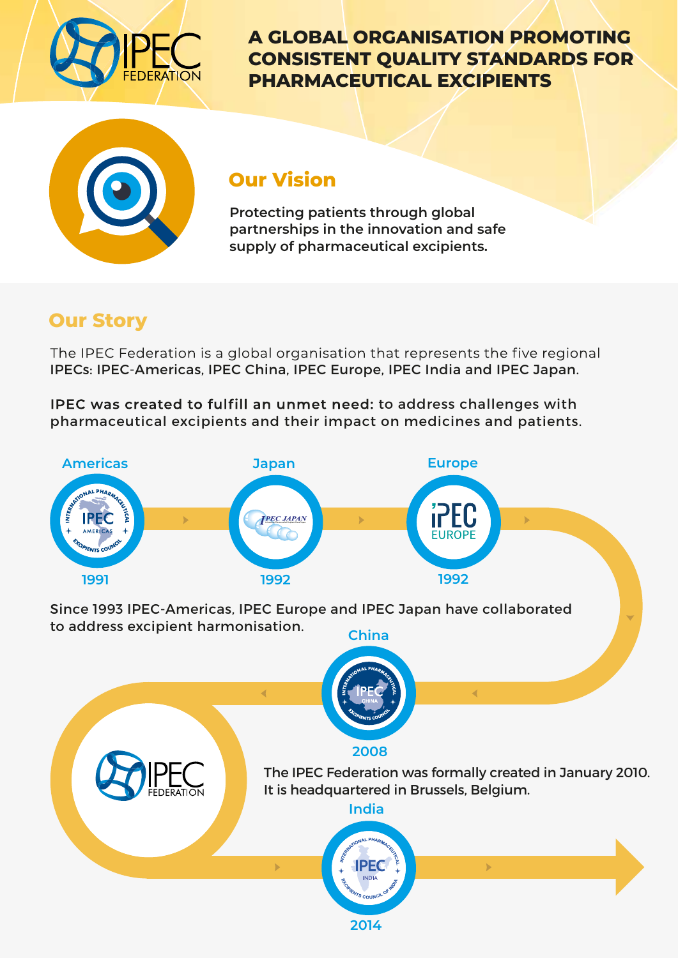

**A GLOBAL ORGANISATION PROMOTING CONSISTENT QUALITY STANDARDS FOR PHARMACEUTICAL EXCIPIENTS**



### **Our Vision**

**Protecting patients through global partnerships in the innovation and safe supply of pharmaceutical excipients.** 

# **Our Story**

The IPEC Federation is a global organisation that represents the five regional IPECs: IPEC-Americas, IPEC China, IPEC Europe, IPEC India and IPEC Japan.

IPEC was created to fulfill an unmet need: to address challenges with pharmaceutical excipients and their impact on medicines and patients.